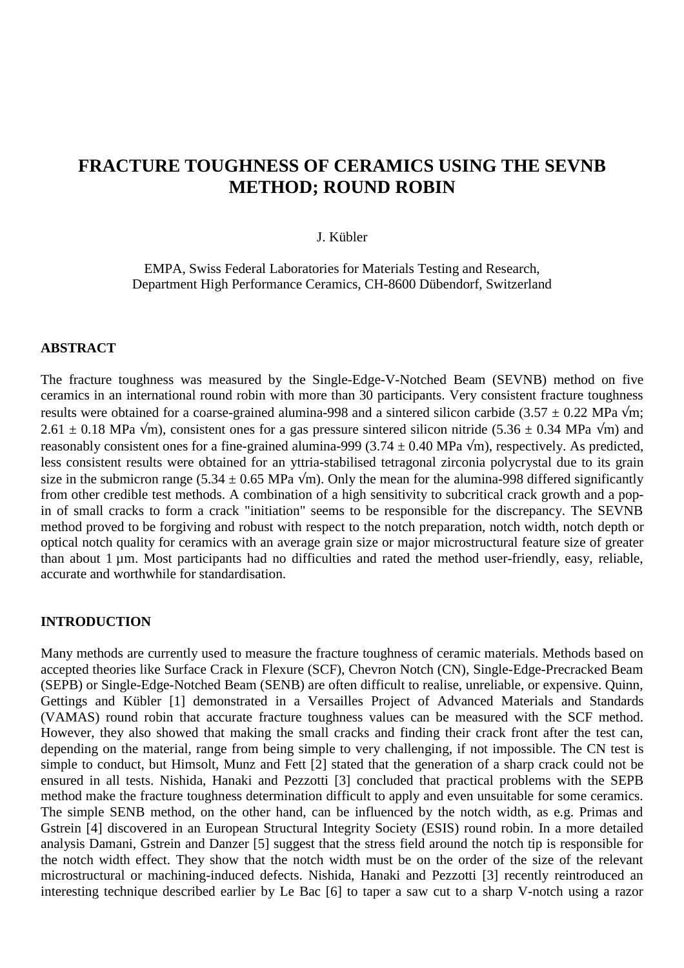# **FRACTURE TOUGHNESS OF CERAMICS USING THE SEVNB METHOD; ROUND ROBIN**

# J. Kübler

EMPA, Swiss Federal Laboratories for Materials Testing and Research, Department High Performance Ceramics, CH-8600 Dübendorf, Switzerland

### **ABSTRACT**

The fracture toughness was measured by the Single-Edge-V-Notched Beam (SEVNB) method on five ceramics in an international round robin with more than 30 participants. Very consistent fracture toughness results were obtained for a coarse-grained alumina-998 and a sintered silicon carbide (3.57  $\pm$  0.22 MPa  $\sqrt{m}$ ; 2.61  $\pm$  0.18 MPa  $\sqrt{m}$ ), consistent ones for a gas pressure sintered silicon nitride (5.36  $\pm$  0.34 MPa  $\sqrt{m}$ ) and reasonably consistent ones for a fine-grained alumina-999 (3.74  $\pm$  0.40 MPa  $\sqrt{m}$ ), respectively. As predicted, less consistent results were obtained for an yttria-stabilised tetragonal zirconia polycrystal due to its grain size in the submicron range (5.34  $\pm$  0.65 MPa  $\sqrt{m}$ ). Only the mean for the alumina-998 differed significantly from other credible test methods. A combination of a high sensitivity to subcritical crack growth and a popin of small cracks to form a crack "initiation" seems to be responsible for the discrepancy. The SEVNB method proved to be forgiving and robust with respect to the notch preparation, notch width, notch depth or optical notch quality for ceramics with an average grain size or major microstructural feature size of greater than about 1 µm. Most participants had no difficulties and rated the method user-friendly, easy, reliable, accurate and worthwhile for standardisation.

### **INTRODUCTION**

Many methods are currently used to measure the fracture toughness of ceramic materials. Methods based on accepted theories like Surface Crack in Flexure (SCF), Chevron Notch (CN), Single-Edge-Precracked Beam (SEPB) or Single-Edge-Notched Beam (SENB) are often difficult to realise, unreliable, or expensive. Quinn, Gettings and Kübler [1] demonstrated in a Versailles Project of Advanced Materials and Standards (VAMAS) round robin that accurate fracture toughness values can be measured with the SCF method. However, they also showed that making the small cracks and finding their crack front after the test can, depending on the material, range from being simple to very challenging, if not impossible. The CN test is simple to conduct, but Himsolt, Munz and Fett [2] stated that the generation of a sharp crack could not be ensured in all tests. Nishida, Hanaki and Pezzotti [3] concluded that practical problems with the SEPB method make the fracture toughness determination difficult to apply and even unsuitable for some ceramics. The simple SENB method, on the other hand, can be influenced by the notch width, as e.g. Primas and Gstrein [4] discovered in an European Structural Integrity Society (ESIS) round robin. In a more detailed analysis Damani, Gstrein and Danzer [5] suggest that the stress field around the notch tip is responsible for the notch width effect. They show that the notch width must be on the order of the size of the relevant microstructural or machining-induced defects. Nishida, Hanaki and Pezzotti [3] recently reintroduced an interesting technique described earlier by Le Bac [6] to taper a saw cut to a sharp V-notch using a razor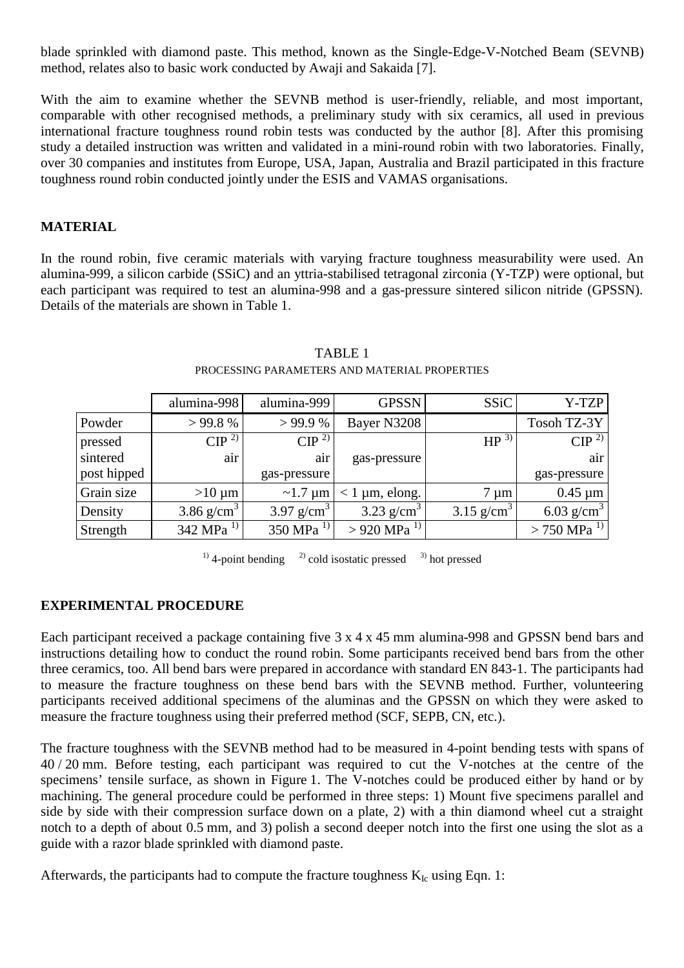blade sprinkled with diamond paste. This method, known as the Single-Edge-V-Notched Beam (SEVNB) method, relates also to basic work conducted by Awaji and Sakaida [7].

With the aim to examine whether the SEVNB method is user-friendly, reliable, and most important, comparable with other recognised methods, a preliminary study with six ceramics, all used in previous international fracture toughness round robin tests was conducted by the author [8]. After this promising study a detailed instruction was written and validated in a mini-round robin with two laboratories. Finally, over 30 companies and institutes from Europe, USA, Japan, Australia and Brazil participated in this fracture toughness round robin conducted jointly under the ESIS and VAMAS organisations.

# **MATERIAL**

In the round robin, five ceramic materials with varying fracture toughness measurability were used. An alumina-999, a silicon carbide (SSiC) and an yttria-stabilised tetragonal zirconia (Y-TZP) were optional, but each participant was required to test an alumina-998 and a gas-pressure sintered silicon nitride (GPSSN). Details of the materials are shown in Table 1.

|             | alumina-998                | alumina-999              | <b>GPSSN</b>              | <b>SSiC</b>              | Y-TZP                     |
|-------------|----------------------------|--------------------------|---------------------------|--------------------------|---------------------------|
| Powder      | >99.8%                     | >99.9%                   | Bayer N3208               |                          | Tosoh TZ-3Y               |
| pressed     | CIP <sup>2</sup>           | CIP <sup>2</sup>         |                           | HP <sup>3</sup>          | CIP <sup>2)</sup>         |
| sintered    | air                        | air                      | gas-pressure              |                          | air                       |
| post hipped |                            | gas-pressure             |                           |                          | gas-pressure              |
| Grain size  | $>10 \mu m$                | $\sim$ 1.7 µm            | $< 1 \mu m$ , elong.      | 7 µm                     | $0.45 \mu m$              |
| Density     | 3.86 g/cm <sup>3</sup> $ $ | 3.97 g/cm <sup>3</sup> l | 3.23 $g/cm3$              | $3.15$ g/cm <sup>3</sup> | 6.03 $g/cm^3$             |
| Strength    | 342 MPa <sup>1</sup>       | 350 MPa <sup>1)</sup>    | $>$ 920 MPa <sup>1)</sup> |                          | $> 750$ MPa <sup>1)</sup> |

# TABLE 1 PROCESSING PARAMETERS AND MATERIAL PROPERTIES

<sup>1)</sup> 4-point bending  $\frac{2}{3}$  cold isostatic pressed  $\frac{3}{3}$  hot pressed

## **EXPERIMENTAL PROCEDURE**

Each participant received a package containing five 3 x 4 x 45 mm alumina-998 and GPSSN bend bars and instructions detailing how to conduct the round robin. Some participants received bend bars from the other three ceramics, too. All bend bars were prepared in accordance with standard EN 843-1. The participants had to measure the fracture toughness on these bend bars with the SEVNB method. Further, volunteering participants received additional specimens of the aluminas and the GPSSN on which they were asked to measure the fracture toughness using their preferred method (SCF, SEPB, CN, etc.).

The fracture toughness with the SEVNB method had to be measured in 4-point bending tests with spans of 40 / 20 mm. Before testing, each participant was required to cut the V-notches at the centre of the specimens' tensile surface, as shown in Figure 1. The V-notches could be produced either by hand or by machining. The general procedure could be performed in three steps: 1) Mount five specimens parallel and side by side with their compression surface down on a plate, 2) with a thin diamond wheel cut a straight notch to a depth of about 0.5 mm, and 3) polish a second deeper notch into the first one using the slot as a guide with a razor blade sprinkled with diamond paste.

Afterwards, the participants had to compute the fracture toughness  $K_{Ic}$  using Eqn. 1: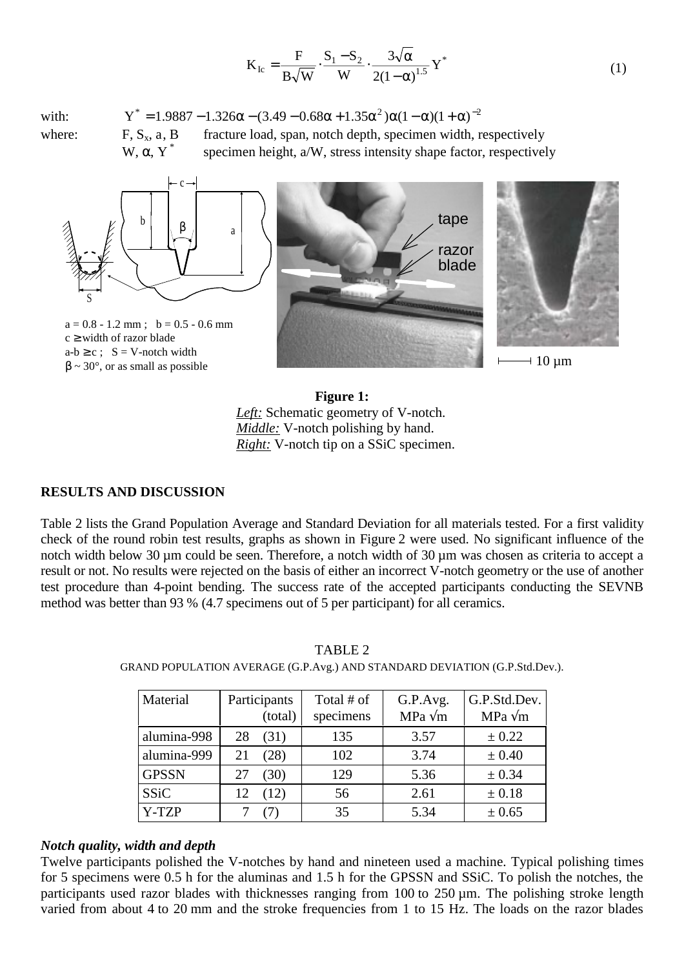$$
K_{Ic} = \frac{F}{B\sqrt{W}} \cdot \frac{S_1 - S_2}{W} \cdot \frac{3\sqrt{\alpha}}{2(1 - \alpha)^{1.5}} Y^*
$$
(1)

with:  $Y^* = 1.9887 - 1.326\alpha - (3.49 - 0.68\alpha + 1.35\alpha^2)\alpha(1 - \alpha)(1 + \alpha)^{-2}$ where: F,  $S_x$ , a, B fracture load, span, notch depth, specimen width, respectively

W,  $\alpha$ , Y<sup>\*</sup> specimen height, a/W, stress intensity shape factor, respectively



**Figure 1:** *Left:* Schematic geometry of V-notch. *Middle:* V-notch polishing by hand. *Right:* V-notch tip on a SSiC specimen.

### **RESULTS AND DISCUSSION**

Table 2 lists the Grand Population Average and Standard Deviation for all materials tested. For a first validity check of the round robin test results, graphs as shown in Figure 2 were used. No significant influence of the notch width below 30 µm could be seen. Therefore, a notch width of 30 µm was chosen as criteria to accept a result or not. No results were rejected on the basis of either an incorrect V-notch geometry or the use of another test procedure than 4-point bending. The success rate of the accepted participants conducting the SEVNB method was better than 93 % (4.7 specimens out of 5 per participant) for all ceramics.

| Material     | Participants<br>(total) |      | Total # of<br>specimens | G.P.Avg.<br>MPa $\sqrt{m}$ | G.P.Std.Dev.<br>MPa $\sqrt{m}$ |  |
|--------------|-------------------------|------|-------------------------|----------------------------|--------------------------------|--|
| alumina-998  | 28                      | (31) | 135                     | 3.57                       | $\pm$ 0.22                     |  |
| alumina-999  | 21                      | (28) | 102                     | 3.74                       | $\pm 0.40$                     |  |
| <b>GPSSN</b> | 27                      | (30) | 129                     | 5.36                       | $\pm 0.34$                     |  |
| <b>SSiC</b>  | 12                      | (12) | 56                      | 2.61                       | $\pm 0.18$                     |  |
| Y-TZP        |                         |      | 35                      | 5.34                       | $\pm 0.65$                     |  |

TABLE 2 GRAND POPULATION AVERAGE (G.P.Avg.) AND STANDARD DEVIATION (G.P.Std.Dev.).

### *Notch quality, width and depth*

Twelve participants polished the V-notches by hand and nineteen used a machine. Typical polishing times for 5 specimens were 0.5 h for the aluminas and 1.5 h for the GPSSN and SSiC. To polish the notches, the participants used razor blades with thicknesses ranging from 100 to 250  $\mu$ m. The polishing stroke length varied from about 4 to 20 mm and the stroke frequencies from 1 to 15 Hz. The loads on the razor blades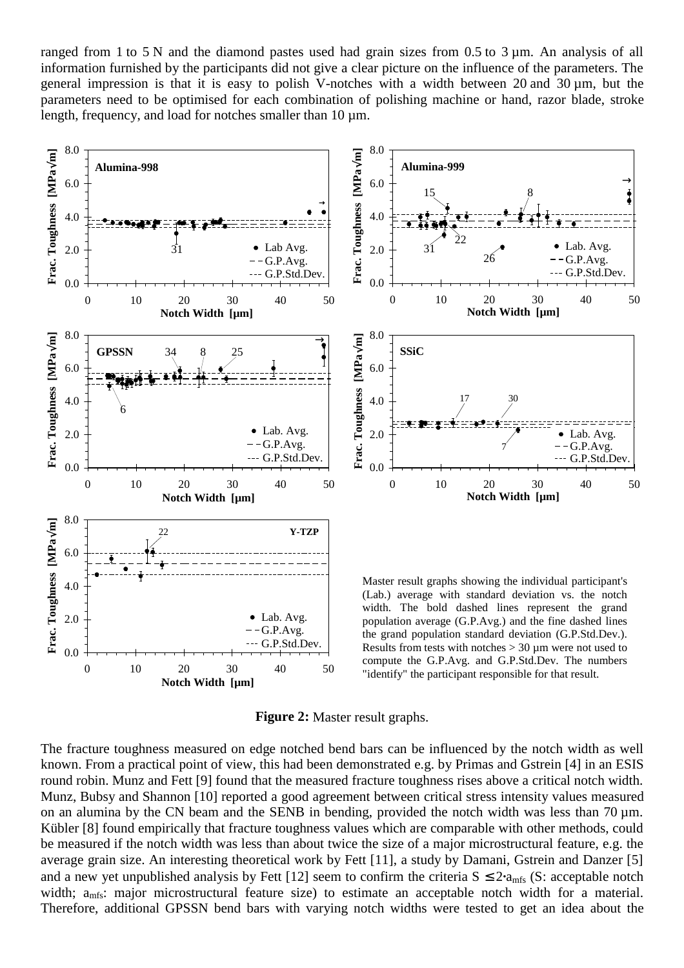ranged from 1 to 5 N and the diamond pastes used had grain sizes from 0.5 to 3  $\mu$ m. An analysis of all information furnished by the participants did not give a clear picture on the influence of the parameters. The general impression is that it is easy to polish V-notches with a width between 20 and 30 um, but the parameters need to be optimised for each combination of polishing machine or hand, razor blade, stroke length, frequency, and load for notches smaller than 10  $\mu$ m.



**Figure 2:** Master result graphs.

The fracture toughness measured on edge notched bend bars can be influenced by the notch width as well known. From a practical point of view, this had been demonstrated e.g. by Primas and Gstrein [4] in an ESIS round robin. Munz and Fett [9] found that the measured fracture toughness rises above a critical notch width. Munz, Bubsy and Shannon [10] reported a good agreement between critical stress intensity values measured on an alumina by the CN beam and the SENB in bending, provided the notch width was less than 70 um. Kübler [8] found empirically that fracture toughness values which are comparable with other methods, could be measured if the notch width was less than about twice the size of a major microstructural feature, e.g. the average grain size. An interesting theoretical work by Fett [11], a study by Damani, Gstrein and Danzer [5] and a new yet unpublished analysis by Fett [12] seem to confirm the criteria  $S \leq 2 \cdot a_{\text{mfs}}$  (S: acceptable notch width; a<sub>mfs</sub>: major microstructural feature size) to estimate an acceptable notch width for a material. Therefore, additional GPSSN bend bars with varying notch widths were tested to get an idea about the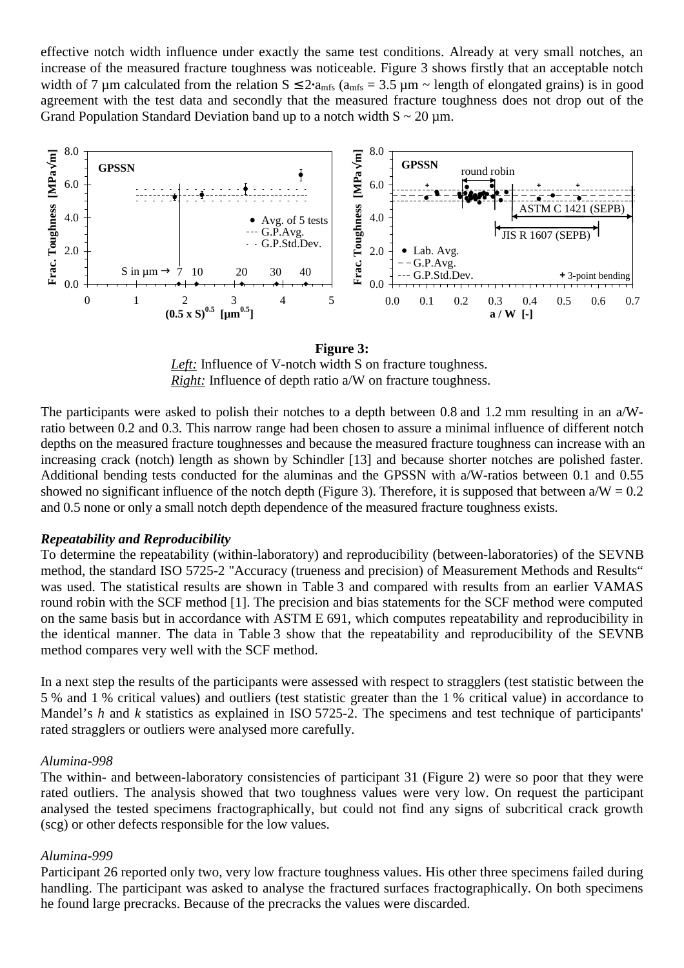effective notch width influence under exactly the same test conditions. Already at very small notches, an increase of the measured fracture toughness was noticeable. Figure 3 shows firstly that an acceptable notch width of 7  $\mu$ m calculated from the relation  $S \le 2 \cdot a_{\text{mfs}} (a_{\text{mfs}} = 3.5 \mu \text{m} \sim \text{length of elongated grains})$  is in good agreement with the test data and secondly that the measured fracture toughness does not drop out of the Grand Population Standard Deviation band up to a notch width  $S \sim 20 \mu m$ .



#### **Figure 3:**

*Left:* Influence of V-notch width S on fracture toughness. *Right:* Influence of depth ratio a/W on fracture toughness.

The participants were asked to polish their notches to a depth between 0.8 and 1.2 mm resulting in an  $a/W$ ratio between 0.2 and 0.3. This narrow range had been chosen to assure a minimal influence of different notch depths on the measured fracture toughnesses and because the measured fracture toughness can increase with an increasing crack (notch) length as shown by Schindler [13] and because shorter notches are polished faster. Additional bending tests conducted for the aluminas and the GPSSN with a/W-ratios between 0.1 and 0.55 showed no significant influence of the notch depth (Figure 3). Therefore, it is supposed that between  $a/W = 0.2$ and 0.5 none or only a small notch depth dependence of the measured fracture toughness exists.

#### *Repeatability and Reproducibility*

To determine the repeatability (within-laboratory) and reproducibility (between-laboratories) of the SEVNB method, the standard ISO 5725-2 "Accuracy (trueness and precision) of Measurement Methods and Results" was used. The statistical results are shown in Table 3 and compared with results from an earlier VAMAS round robin with the SCF method [1]. The precision and bias statements for the SCF method were computed on the same basis but in accordance with ASTM E 691, which computes repeatability and reproducibility in the identical manner. The data in Table 3 show that the repeatability and reproducibility of the SEVNB method compares very well with the SCF method.

In a next step the results of the participants were assessed with respect to stragglers (test statistic between the 5 % and 1 % critical values) and outliers (test statistic greater than the 1 % critical value) in accordance to Mandel's *h* and *k* statistics as explained in ISO 5725-2. The specimens and test technique of participants' rated stragglers or outliers were analysed more carefully.

### *Alumina-998*

The within- and between-laboratory consistencies of participant 31 (Figure 2) were so poor that they were rated outliers. The analysis showed that two toughness values were very low. On request the participant analysed the tested specimens fractographically, but could not find any signs of subcritical crack growth (scg) or other defects responsible for the low values.

#### *Alumina-999*

Participant 26 reported only two, very low fracture toughness values. His other three specimens failed during handling. The participant was asked to analyse the fractured surfaces fractographically. On both specimens he found large precracks. Because of the precracks the values were discarded.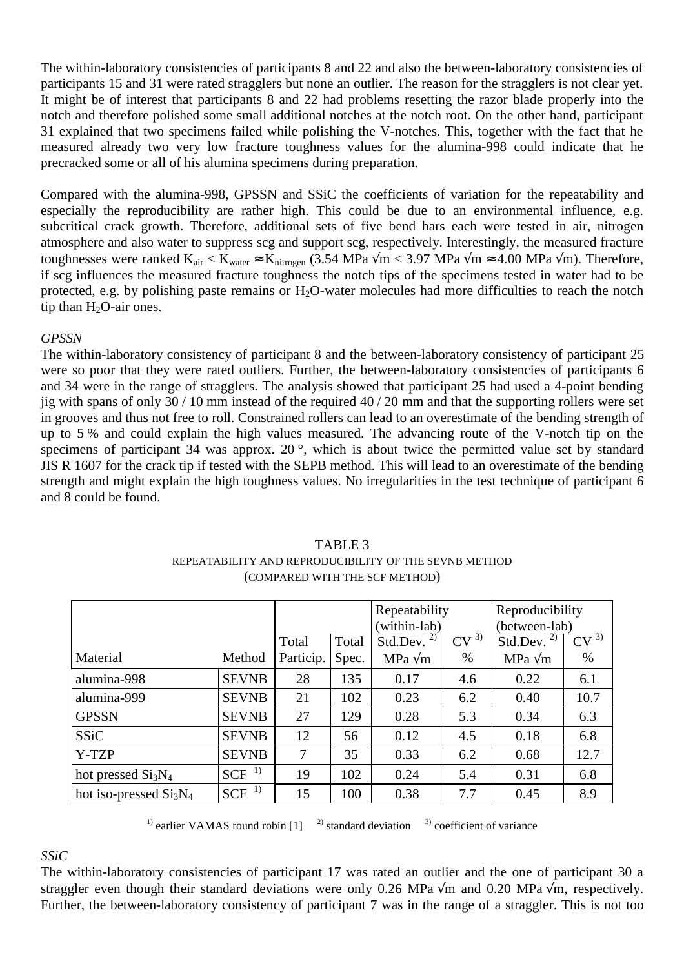The within-laboratory consistencies of participants 8 and 22 and also the between-laboratory consistencies of participants 15 and 31 were rated stragglers but none an outlier. The reason for the stragglers is not clear yet. It might be of interest that participants 8 and 22 had problems resetting the razor blade properly into the notch and therefore polished some small additional notches at the notch root. On the other hand, participant 31 explained that two specimens failed while polishing the V-notches. This, together with the fact that he measured already two very low fracture toughness values for the alumina-998 could indicate that he precracked some or all of his alumina specimens during preparation.

Compared with the alumina-998, GPSSN and SSiC the coefficients of variation for the repeatability and especially the reproducibility are rather high. This could be due to an environmental influence, e.g. subcritical crack growth. Therefore, additional sets of five bend bars each were tested in air, nitrogen atmosphere and also water to suppress scg and support scg, respectively. Interestingly, the measured fracture toughnesses were ranked  $K_{air} < K_{water} \approx K_{nitrogen}$  (3.54 MPa  $\sqrt{m} < 3.97$  MPa  $\sqrt{m} \approx 4.00$  MPa  $\sqrt{m}$ ). Therefore, if scg influences the measured fracture toughness the notch tips of the specimens tested in water had to be protected, e.g. by polishing paste remains or  $H_2O$ -water molecules had more difficulties to reach the notch tip than  $H_2O$ -air ones.

### *GPSSN*

The within-laboratory consistency of participant 8 and the between-laboratory consistency of participant 25 were so poor that they were rated outliers. Further, the between-laboratory consistencies of participants 6 and 34 were in the range of stragglers. The analysis showed that participant 25 had used a 4-point bending jig with spans of only 30 / 10 mm instead of the required 40 / 20 mm and that the supporting rollers were set in grooves and thus not free to roll. Constrained rollers can lead to an overestimate of the bending strength of up to 5 % and could explain the high values measured. The advancing route of the V-notch tip on the specimens of participant 34 was approx. 20<sup>°</sup>, which is about twice the permitted value set by standard JIS R 1607 for the crack tip if tested with the SEPB method. This will lead to an overestimate of the bending strength and might explain the high toughness values. No irregularities in the test technique of participant 6 and 8 could be found.

|                         |                  |           |       | Repeatability                 |                 | Reproducibility                |                 |
|-------------------------|------------------|-----------|-------|-------------------------------|-----------------|--------------------------------|-----------------|
|                         |                  | Total     | Total | (within-lab)<br>Std.Dev. $2)$ | CV <sup>3</sup> | (between-lab)<br>Std.Dev. $2)$ | CV <sup>3</sup> |
| Material                | Method           | Particip. | Spec. | MPa $\sqrt{m}$                | %               | MPa $\sqrt{m}$                 | %               |
| alumina-998             | <b>SEVNB</b>     | 28        | 135   | 0.17                          | 4.6             | 0.22                           | 6.1             |
| alumina-999             | <b>SEVNB</b>     | 21        | 102   | 0.23                          | 6.2             | 0.40                           | 10.7            |
| <b>GPSSN</b>            | <b>SEVNB</b>     | 27        | 129   | 0.28                          | 5.3             | 0.34                           | 6.3             |
| <b>SSiC</b>             | <b>SEVNB</b>     | 12        | 56    | 0.12                          | 4.5             | 0.18                           | 6.8             |
| Y-TZP                   | <b>SEVNB</b>     | 7         | 35    | 0.33                          | 6.2             | 0.68                           | 12.7            |
| hot pressed $Si3N4$     | 1)<br><b>SCF</b> | 19        | 102   | 0.24                          | 5.4             | 0.31                           | 6.8             |
| hot iso-pressed $Si3N4$ | 1)<br><b>SCF</b> | 15        | 100   | 0.38                          | 7.7             | 0.45                           | 8.9             |

### TABLE 3 REPEATABILITY AND REPRODUCIBILITY OF THE SEVNB METHOD (COMPARED WITH THE SCF METHOD)

<sup>1)</sup> earlier VAMAS round robin  $\left[1\right]$ <sup>2)</sup> standard deviation <sup>3)</sup> coefficient of variance

## *SSiC*

The within-laboratory consistencies of participant 17 was rated an outlier and the one of participant 30 a straggler even though their standard deviations were only 0.26 MPa  $\sqrt{m}$  and 0.20 MPa  $\sqrt{m}$ , respectively. Further, the between-laboratory consistency of participant 7 was in the range of a straggler. This is not too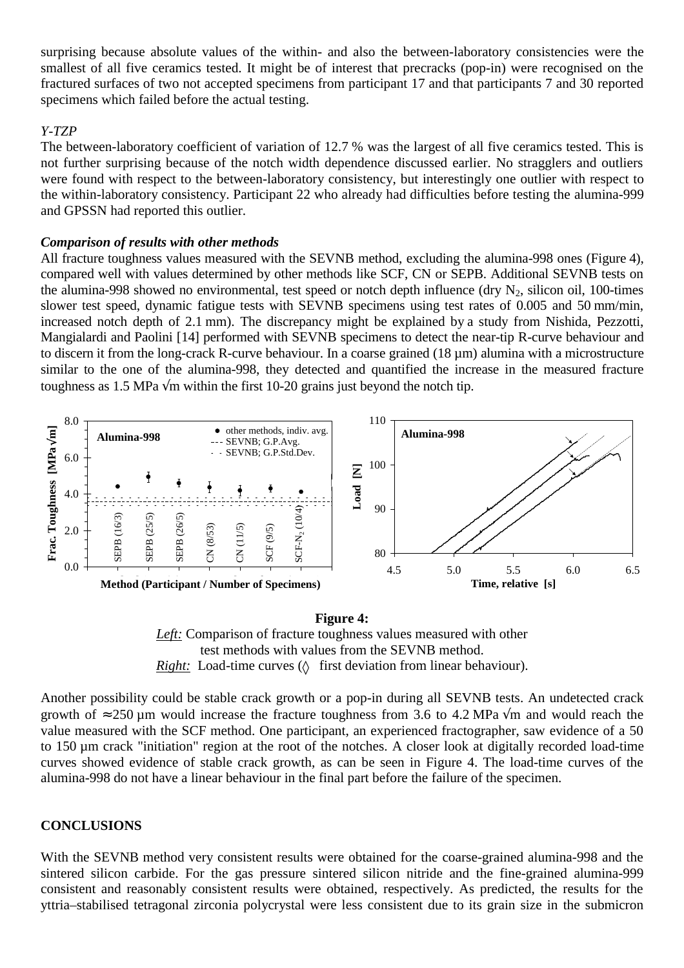surprising because absolute values of the within- and also the between-laboratory consistencies were the smallest of all five ceramics tested. It might be of interest that precracks (pop-in) were recognised on the fractured surfaces of two not accepted specimens from participant 17 and that participants 7 and 30 reported specimens which failed before the actual testing.

# *Y-TZP*

The between-laboratory coefficient of variation of 12.7 % was the largest of all five ceramics tested. This is not further surprising because of the notch width dependence discussed earlier. No stragglers and outliers were found with respect to the between-laboratory consistency, but interestingly one outlier with respect to the within-laboratory consistency. Participant 22 who already had difficulties before testing the alumina-999 and GPSSN had reported this outlier.

## *Comparison of results with other methods*

All fracture toughness values measured with the SEVNB method, excluding the alumina-998 ones (Figure 4), compared well with values determined by other methods like SCF, CN or SEPB. Additional SEVNB tests on the alumina-998 showed no environmental, test speed or notch depth influence (dry  $N_2$ , silicon oil, 100-times slower test speed, dynamic fatigue tests with SEVNB specimens using test rates of 0.005 and 50 mm/min, increased notch depth of 2.1 mm). The discrepancy might be explained by a study from Nishida, Pezzotti, Mangialardi and Paolini [14] performed with SEVNB specimens to detect the near-tip R-curve behaviour and to discern it from the long-crack R-curve behaviour. In a coarse grained (18 µm) alumina with a microstructure similar to the one of the alumina-998, they detected and quantified the increase in the measured fracture toughness as 1.5 MPa  $\sqrt{m}$  within the first 10-20 grains just beyond the notch tip.



# **Figure 4:** *Left:* Comparison of fracture toughness values measured with other test methods with values from the SEVNB method. *Right:* Load-time curves (◊ first deviation from linear behaviour).

Another possibility could be stable crack growth or a pop-in during all SEVNB tests. An undetected crack growth of ≈ 250 µm would increase the fracture toughness from 3.6 to 4.2 MPa  $\sqrt{m}$  and would reach the value measured with the SCF method. One participant, an experienced fractographer, saw evidence of a 50 to 150 µm crack "initiation" region at the root of the notches. A closer look at digitally recorded load-time curves showed evidence of stable crack growth, as can be seen in Figure 4. The load-time curves of the alumina-998 do not have a linear behaviour in the final part before the failure of the specimen.

# **CONCLUSIONS**

With the SEVNB method very consistent results were obtained for the coarse-grained alumina-998 and the sintered silicon carbide. For the gas pressure sintered silicon nitride and the fine-grained alumina-999 consistent and reasonably consistent results were obtained, respectively. As predicted, the results for the yttria–stabilised tetragonal zirconia polycrystal were less consistent due to its grain size in the submicron